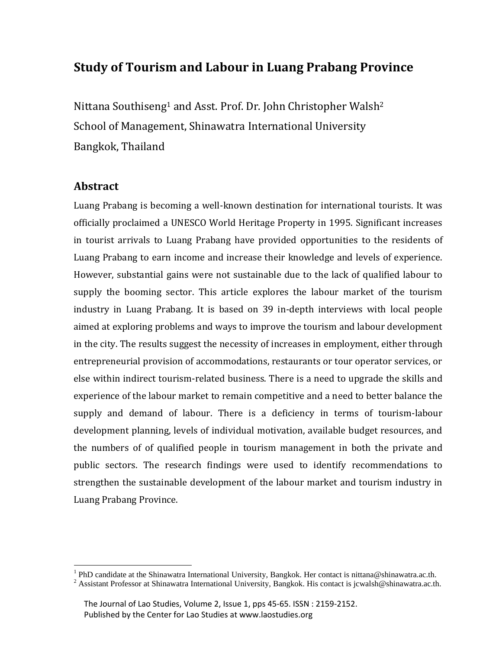# **Study of Tourism and Labour in Luang Prabang Province**

Nittana Southiseng<sup>1</sup> and Asst. Prof. Dr. John Christopher Walsh<sup>2</sup> School of Management, Shinawatra International University Bangkok, Thailand

# **Abstract**

Luang Prabang is becoming a well-known destination for international tourists. It was officially proclaimed a UNESCO World Heritage Property in 1995. Significant increases in tourist arrivals to Luang Prabang have provided opportunities to the residents of Luang Prabang to earn income and increase their knowledge and levels of experience. However, substantial gains were not sustainable due to the lack of qualified labour to supply the booming sector. This article explores the labour market of the tourism industry in Luang Prabang. It is based on 39 in-depth interviews with local people aimed at exploring problems and ways to improve the tourism and labour development in the city. The results suggest the necessity of increases in employment, either through entrepreneurial provision of accommodations, restaurants or tour operator services, or else within indirect tourism-related business. There is a need to upgrade the skills and experience of the labour market to remain competitive and a need to better balance the supply and demand of labour. There is a deficiency in terms of tourism-labour development planning, levels of individual motivation, available budget resources, and the numbers of of qualified people in tourism management in both the private and public sectors. The research findings were used to identify recommendations to strengthen the sustainable development of the labour market and tourism industry in Luang Prabang Province.

<sup>&</sup>lt;sup>1</sup> PhD candidate at the Shinawatra International University, Bangkok. Her contact i[s nittana@shinawatra.ac.th.](mailto:nittana@shinawatra.ac.th)

<sup>&</sup>lt;sup>2</sup> Assistant Professor at Shinawatra International University, Bangkok. His contact is [jcwalsh@shinawatra.ac.th.](mailto:jcwalsh@shinawatra.ac.th)

The Journal of Lao Studies, Volume 2, Issue 1, pps 45-65. ISSN : 2159-2152. Published by the Center for Lao Studies at www.laostudies.org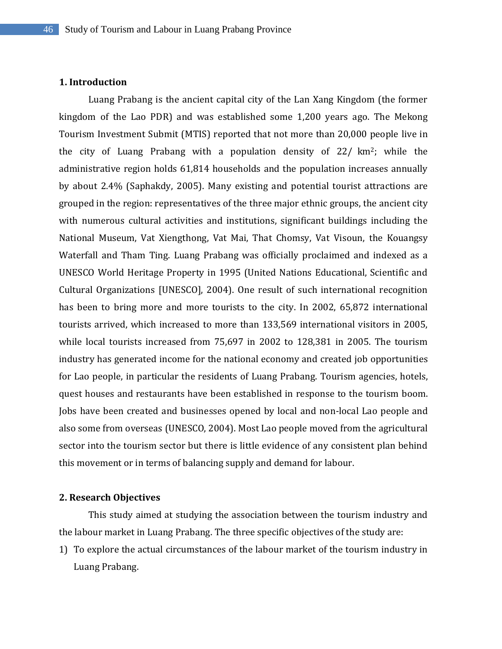# **1. Introduction**

Luang Prabang is the ancient capital city of the Lan Xang Kingdom (the former kingdom of the Lao PDR) and was established some 1,200 years ago. The Mekong Tourism Investment Submit (MTIS) reported that not more than 20,000 people live in the city of Luang Prabang with a population density of 22/ km2; while the administrative region holds 61,814 households and the population increases annually by about 2.4% (Saphakdy, 2005). Many existing and potential tourist attractions are grouped in the region: representatives of the three major ethnic groups, the ancient city with numerous cultural activities and institutions, significant buildings including the National Museum, Vat Xiengthong, Vat Mai, That Chomsy, Vat Visoun, the Kouangsy Waterfall and Tham Ting. Luang Prabang was officially proclaimed and indexed as a UNESCO World Heritage Property in 1995 (United Nations Educational, Scientific and Cultural Organizations [UNESCO], 2004). One result of such international recognition has been to bring more and more tourists to the city. In 2002, 65,872 international tourists arrived, which increased to more than 133,569 international visitors in 2005, while local tourists increased from 75,697 in 2002 to 128,381 in 2005. The tourism industry has generated income for the national economy and created job opportunities for Lao people, in particular the residents of Luang Prabang. Tourism agencies, hotels, quest houses and restaurants have been established in response to the tourism boom. Jobs have been created and businesses opened by local and non-local Lao people and also some from overseas (UNESCO, 2004). Most Lao people moved from the agricultural sector into the tourism sector but there is little evidence of any consistent plan behind this movement or in terms of balancing supply and demand for labour.

# **2. Research Objectives**

This study aimed at studying the association between the tourism industry and the labour market in Luang Prabang. The three specific objectives of the study are:

1) To explore the actual circumstances of the labour market of the tourism industry in Luang Prabang.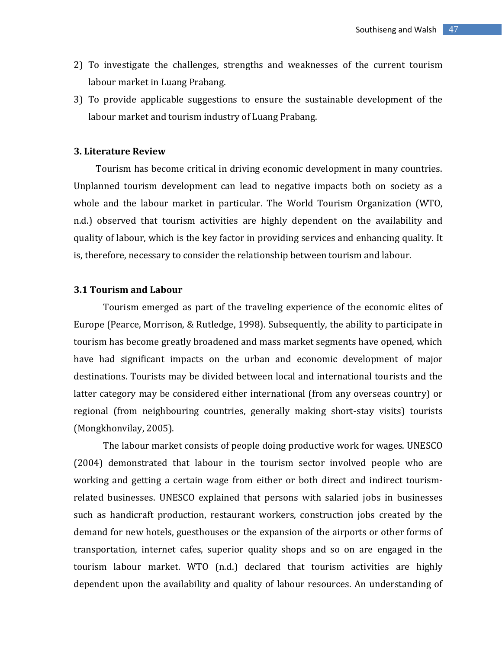- 2) To investigate the challenges, strengths and weaknesses of the current tourism labour market in Luang Prabang.
- 3) To provide applicable suggestions to ensure the sustainable development of the labour market and tourism industry of Luang Prabang.

#### **3. Literature Review**

Tourism has become critical in driving economic development in many countries. Unplanned tourism development can lead to negative impacts both on society as a whole and the labour market in particular. The World Tourism Organization (WTO, n.d.) observed that tourism activities are highly dependent on the availability and quality of labour, which is the key factor in providing services and enhancing quality. It is, therefore, necessary to consider the relationship between tourism and labour.

#### **3.1 Tourism and Labour**

Tourism emerged as part of the traveling experience of the economic elites of Europe (Pearce, Morrison, & Rutledge, 1998). Subsequently, the ability to participate in tourism has become greatly broadened and mass market segments have opened, which have had significant impacts on the urban and economic development of major destinations. Tourists may be divided between local and international tourists and the latter category may be considered either international (from any overseas country) or regional (from neighbouring countries, generally making short-stay visits) tourists (Mongkhonvilay, 2005).

The labour market consists of people doing productive work for wages. UNESCO (2004) demonstrated that labour in the tourism sector involved people who are working and getting a certain wage from either or both direct and indirect tourismrelated businesses. UNESCO explained that persons with salaried jobs in businesses such as handicraft production, restaurant workers, construction jobs created by the demand for new hotels, guesthouses or the expansion of the airports or other forms of transportation, internet cafes, superior quality shops and so on are engaged in the tourism labour market. WTO (n.d.) declared that tourism activities are highly dependent upon the availability and quality of labour resources. An understanding of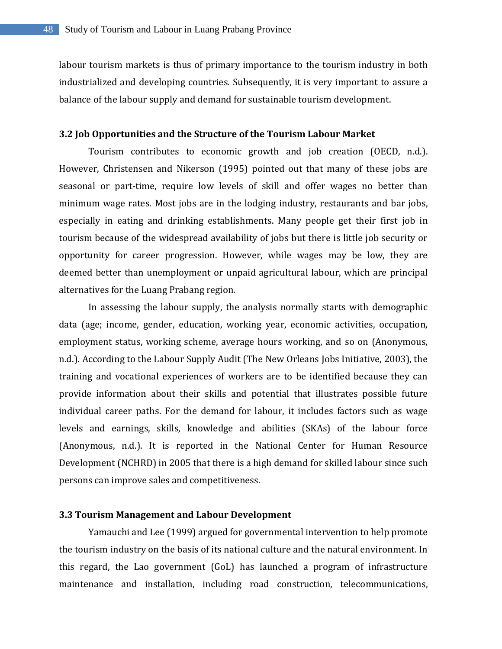labour tourism markets is thus of primary importance to the tourism industry in both industrialized and developing countries. Subsequently, it is very important to assure a balance of the labour supply and demand for sustainable tourism development.

#### **3.2 Job Opportunities and the Structure of the Tourism Labour Market**

Tourism contributes to economic growth and job creation (OECD, n.d.). However, Christensen and Nikerson (1995) pointed out that many of these jobs are seasonal or part-time, require low levels of skill and offer wages no better than minimum wage rates. Most jobs are in the lodging industry, restaurants and bar jobs, especially in eating and drinking establishments. Many people get their first job in tourism because of the widespread availability of jobs but there is little job security or opportunity for career progression. However, while wages may be low, they are deemed better than unemployment or unpaid agricultural labour, which are principal alternatives for the Luang Prabang region.

In assessing the labour supply, the analysis normally starts with demographic data (age; income, gender, education, working year, economic activities, occupation, employment status, working scheme, average hours working, and so on (Anonymous, n.d.). According to the Labour Supply Audit (The New Orleans Jobs Initiative, 2003), the training and vocational experiences of workers are to be identified because they can provide information about their skills and potential that illustrates possible future individual career paths. For the demand for labour, it includes factors such as wage levels and earnings, skills, knowledge and abilities (SKAs) of the labour force (Anonymous, n.d.). It is reported in the National Center for Human Resource Development (NCHRD) in 2005 that there is a high demand for skilled labour since such persons can improve sales and competitiveness.

# **3.3 Tourism Management and Labour Development**

Yamauchi and Lee (1999) argued for governmental intervention to help promote the tourism industry on the basis of its national culture and the natural environment. In this regard, the Lao government (GoL) has launched a program of infrastructure maintenance and installation, including road construction, telecommunications,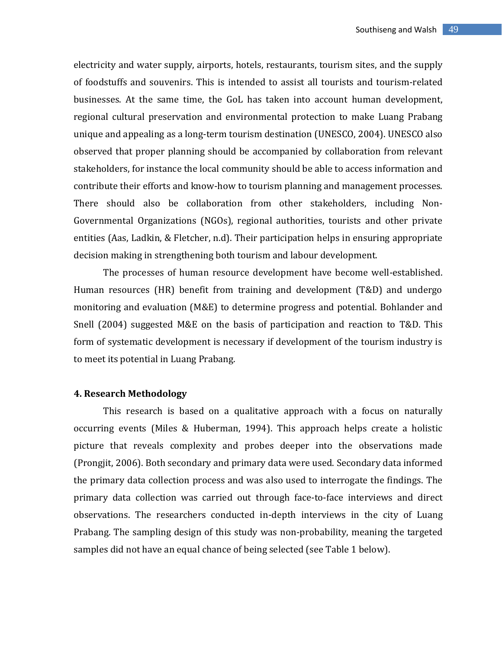electricity and water supply, airports, hotels, restaurants, tourism sites, and the supply of foodstuffs and souvenirs. This is intended to assist all tourists and tourism-related businesses. At the same time, the GoL has taken into account human development, regional cultural preservation and environmental protection to make Luang Prabang unique and appealing as a long-term tourism destination (UNESCO, 2004). UNESCO also observed that proper planning should be accompanied by collaboration from relevant stakeholders, for instance the local community should be able to access information and contribute their efforts and know-how to tourism planning and management processes. There should also be collaboration from other stakeholders, including Non-Governmental Organizations (NGOs), regional authorities, tourists and other private entities (Aas, Ladkin, & Fletcher, n.d). Their participation helps in ensuring appropriate decision making in strengthening both tourism and labour development.

The processes of human resource development have become well-established. Human resources (HR) benefit from training and development (T&D) and undergo monitoring and evaluation (M&E) to determine progress and potential. Bohlander and Snell (2004) suggested M&E on the basis of participation and reaction to T&D. This form of systematic development is necessary if development of the tourism industry is to meet its potential in Luang Prabang.

# **4. Research Methodology**

This research is based on a qualitative approach with a focus on naturally occurring events (Miles & Huberman, 1994). This approach helps create a holistic picture that reveals complexity and probes deeper into the observations made (Prongjit, 2006). Both secondary and primary data were used. Secondary data informed the primary data collection process and was also used to interrogate the findings. The primary data collection was carried out through face-to-face interviews and direct observations. The researchers conducted in-depth interviews in the city of Luang Prabang. The sampling design of this study was non-probability, meaning the targeted samples did not have an equal chance of being selected (see Table 1 below).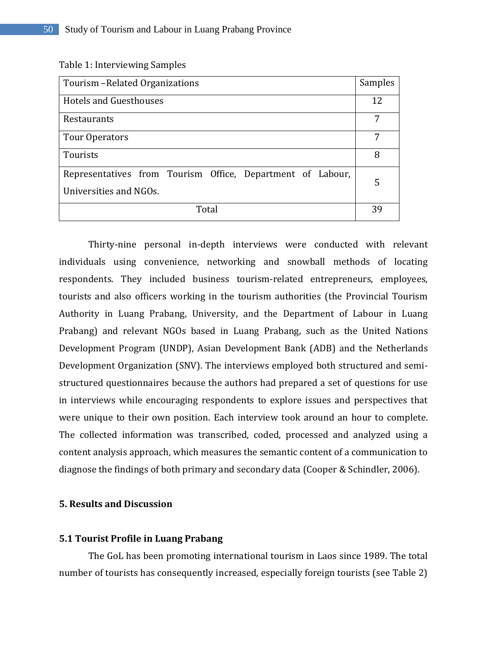Table 1: Interviewing Samples

| Tourism - Related Organizations                                                      |    |  |  |
|--------------------------------------------------------------------------------------|----|--|--|
| Hotels and Guesthouses                                                               | 12 |  |  |
| Restaurants                                                                          | 7  |  |  |
| Tour Operators                                                                       | 7  |  |  |
| Tourists                                                                             | 8  |  |  |
| Representatives from Tourism Office, Department of Labour,<br>Universities and NGOs. | 5  |  |  |
| Total                                                                                |    |  |  |

Thirty-nine personal in-depth interviews were conducted with relevant individuals using convenience, networking and snowball methods of locating respondents. They included business tourism-related entrepreneurs, employees, tourists and also officers working in the tourism authorities (the Provincial Tourism Authority in Luang Prabang, University, and the Department of Labour in Luang Prabang) and relevant NGOs based in Luang Prabang, such as the United Nations Development Program (UNDP), Asian Development Bank (ADB) and the Netherlands Development Organization (SNV). The interviews employed both structured and semistructured questionnaires because the authors had prepared a set of questions for use in interviews while encouraging respondents to explore issues and perspectives that were unique to their own position. Each interview took around an hour to complete. The collected information was transcribed, coded, processed and analyzed using a content analysis approach, which measures the semantic content of a communication to diagnose the findings of both primary and secondary data (Cooper & Schindler, 2006).

# **5. Results and Discussion**

#### **5.1 Tourist Profile in Luang Prabang**

The GoL has been promoting international tourism in Laos since 1989. The total number of tourists has consequently increased, especially foreign tourists (see Table 2)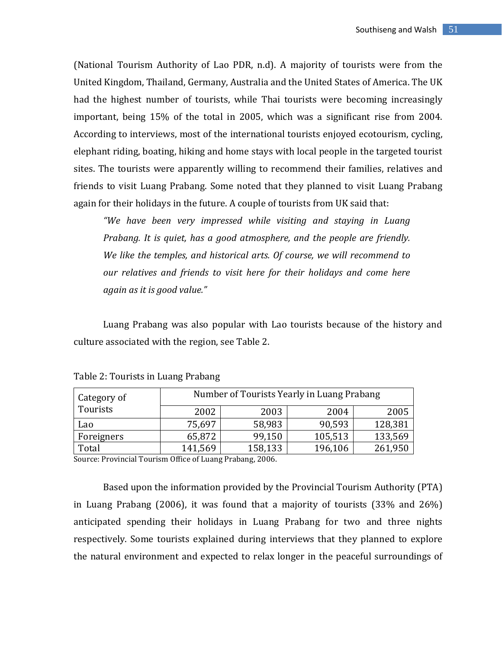(National Tourism Authority of Lao PDR, n.d). A majority of tourists were from the United Kingdom, Thailand, Germany, Australia and the United States of America. The UK had the highest number of tourists, while Thai tourists were becoming increasingly important, being 15% of the total in 2005, which was a significant rise from 2004. According to interviews, most of the international tourists enjoyed ecotourism, cycling, elephant riding, boating, hiking and home stays with local people in the targeted tourist sites. The tourists were apparently willing to recommend their families, relatives and friends to visit Luang Prabang. Some noted that they planned to visit Luang Prabang again for their holidays in the future. A couple of tourists from UK said that:

*"We have been very impressed while visiting and staying in Luang Prabang. It is quiet, has a good atmosphere, and the people are friendly. We like the temples, and historical arts. Of course, we will recommend to our relatives and friends to visit here for their holidays and come here again as it is good value."*

Luang Prabang was also popular with Lao tourists because of the history and culture associated with the region, see Table 2.

| Category of<br>Tourists | Number of Tourists Yearly in Luang Prabang |         |         |         |  |
|-------------------------|--------------------------------------------|---------|---------|---------|--|
|                         | 2002                                       | 2003    | 2004    | 2005    |  |
| Lao                     | 75,697                                     | 58,983  | 90,593  | 128,381 |  |
| Foreigners              | 65,872                                     | 99,150  | 105,513 | 133,569 |  |
| Total                   | 141,569                                    | 158,133 | 196,106 | 261,950 |  |

|  |  | Table 2: Tourists in Luang Prabang |  |  |  |
|--|--|------------------------------------|--|--|--|
|--|--|------------------------------------|--|--|--|

Source: Provincial Tourism Office of Luang Prabang, 2006.

Based upon the information provided by the Provincial Tourism Authority (PTA) in Luang Prabang (2006), it was found that a majority of tourists (33% and 26%) anticipated spending their holidays in Luang Prabang for two and three nights respectively. Some tourists explained during interviews that they planned to explore the natural environment and expected to relax longer in the peaceful surroundings of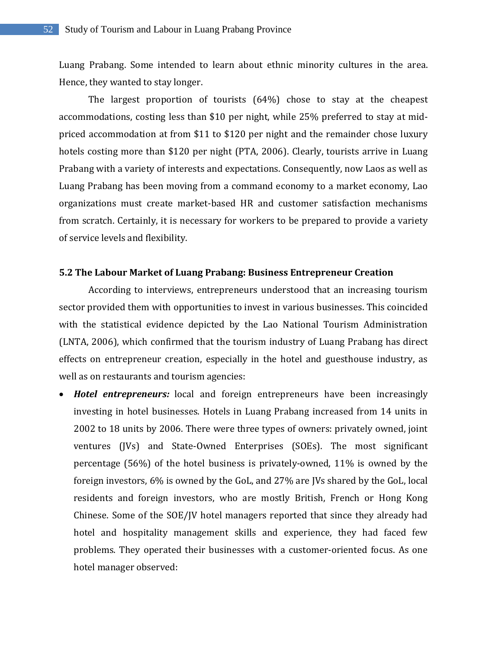Luang Prabang. Some intended to learn about ethnic minority cultures in the area. Hence, they wanted to stay longer.

The largest proportion of tourists (64%) chose to stay at the cheapest accommodations, costing less than \$10 per night, while 25% preferred to stay at midpriced accommodation at from \$11 to \$120 per night and the remainder chose luxury hotels costing more than \$120 per night (PTA, 2006). Clearly, tourists arrive in Luang Prabang with a variety of interests and expectations. Consequently, now Laos as well as Luang Prabang has been moving from a command economy to a market economy, Lao organizations must create market-based HR and customer satisfaction mechanisms from scratch. Certainly, it is necessary for workers to be prepared to provide a variety of service levels and flexibility.

# **5.2 The Labour Market of Luang Prabang: Business Entrepreneur Creation**

According to interviews, entrepreneurs understood that an increasing tourism sector provided them with opportunities to invest in various businesses. This coincided with the statistical evidence depicted by the Lao National Tourism Administration (LNTA, 2006), which confirmed that the tourism industry of Luang Prabang has direct effects on entrepreneur creation, especially in the hotel and guesthouse industry, as well as on restaurants and tourism agencies:

 *Hotel entrepreneurs:* local and foreign entrepreneurs have been increasingly investing in hotel businesses. Hotels in Luang Prabang increased from 14 units in 2002 to 18 units by 2006. There were three types of owners: privately owned, joint ventures (JVs) and State-Owned Enterprises (SOEs). The most significant percentage (56%) of the hotel business is privately-owned, 11% is owned by the foreign investors, 6% is owned by the GoL, and 27% are JVs shared by the GoL, local residents and foreign investors, who are mostly British, French or Hong Kong Chinese. Some of the SOE/JV hotel managers reported that since they already had hotel and hospitality management skills and experience, they had faced few problems. They operated their businesses with a customer-oriented focus. As one hotel manager observed: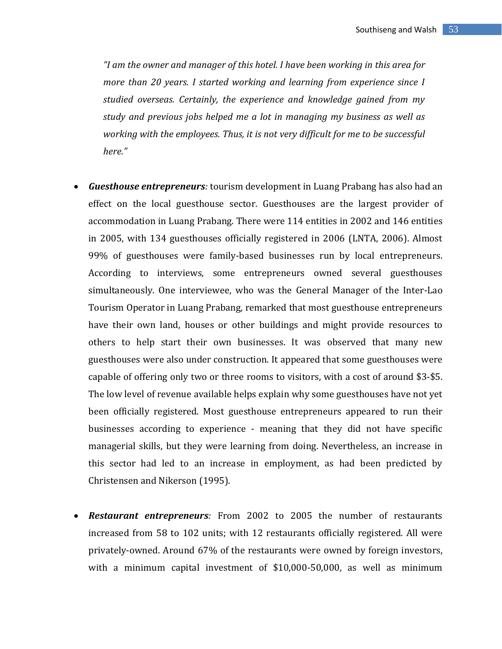*"I am the owner and manager of this hotel. I have been working in this area for more than 20 years. I started working and learning from experience since I studied overseas. Certainly, the experience and knowledge gained from my study and previous jobs helped me a lot in managing my business as well as working with the employees. Thus, it is not very difficult for me to be successful here."*

- *Guesthouse entrepreneurs:* tourism development in Luang Prabang has also had an effect on the local guesthouse sector. Guesthouses are the largest provider of accommodation in Luang Prabang. There were 114 entities in 2002 and 146 entities in 2005, with 134 guesthouses officially registered in 2006 (LNTA, 2006). Almost 99% of guesthouses were family-based businesses run by local entrepreneurs. According to interviews, some entrepreneurs owned several guesthouses simultaneously. One interviewee, who was the General Manager of the Inter-Lao Tourism Operator in Luang Prabang, remarked that most guesthouse entrepreneurs have their own land, houses or other buildings and might provide resources to others to help start their own businesses. It was observed that many new guesthouses were also under construction. It appeared that some guesthouses were capable of offering only two or three rooms to visitors, with a cost of around \$3-\$5. The low level of revenue available helps explain why some guesthouses have not yet been officially registered. Most guesthouse entrepreneurs appeared to run their businesses according to experience - meaning that they did not have specific managerial skills, but they were learning from doing. Nevertheless, an increase in this sector had led to an increase in employment, as had been predicted by Christensen and Nikerson (1995).
- *Restaurant entrepreneurs:* From 2002 to 2005 the number of restaurants increased from 58 to 102 units; with 12 restaurants officially registered. All were privately-owned. Around 67% of the restaurants were owned by foreign investors, with a minimum capital investment of \$10,000-50,000, as well as minimum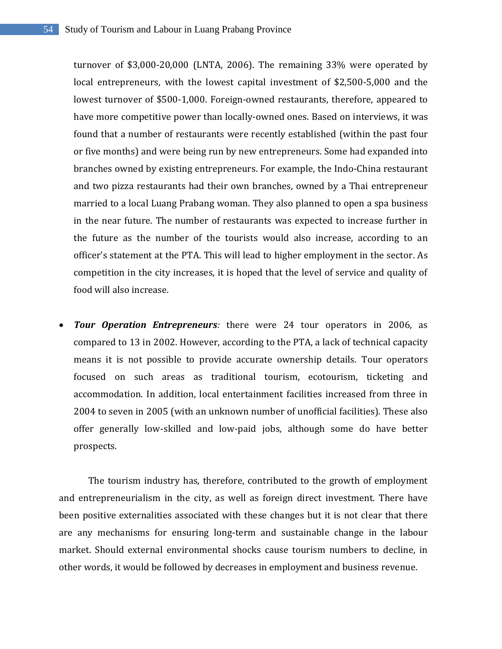turnover of \$3,000-20,000 (LNTA, 2006). The remaining 33% were operated by local entrepreneurs, with the lowest capital investment of \$2,500-5,000 and the lowest turnover of \$500-1,000. Foreign-owned restaurants, therefore, appeared to have more competitive power than locally-owned ones. Based on interviews, it was found that a number of restaurants were recently established (within the past four or five months) and were being run by new entrepreneurs. Some had expanded into branches owned by existing entrepreneurs. For example, the Indo-China restaurant and two pizza restaurants had their own branches, owned by a Thai entrepreneur married to a local Luang Prabang woman. They also planned to open a spa business in the near future. The number of restaurants was expected to increase further in the future as the number of the tourists would also increase, according to an officer's statement at the PTA. This will lead to higher employment in the sector. As competition in the city increases, it is hoped that the level of service and quality of food will also increase.

**Tour Operation Entrepreneurs**: there were 24 tour operators in 2006, as compared to 13 in 2002. However, according to the PTA, a lack of technical capacity means it is not possible to provide accurate ownership details. Tour operators focused on such areas as traditional tourism, ecotourism, ticketing and accommodation. In addition, local entertainment facilities increased from three in 2004 to seven in 2005 (with an unknown number of unofficial facilities). These also offer generally low-skilled and low-paid jobs, although some do have better prospects.

The tourism industry has, therefore, contributed to the growth of employment and entrepreneurialism in the city, as well as foreign direct investment. There have been positive externalities associated with these changes but it is not clear that there are any mechanisms for ensuring long-term and sustainable change in the labour market. Should external environmental shocks cause tourism numbers to decline, in other words, it would be followed by decreases in employment and business revenue.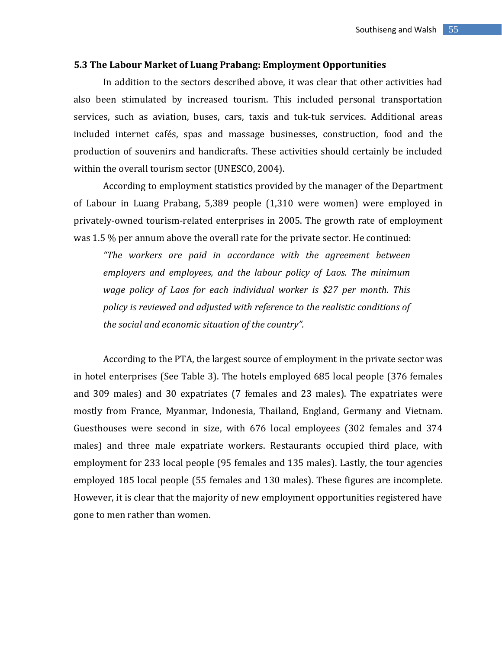#### **5.3 The Labour Market of Luang Prabang: Employment Opportunities**

In addition to the sectors described above, it was clear that other activities had also been stimulated by increased tourism. This included personal transportation services, such as aviation, buses, cars, taxis and tuk-tuk services. Additional areas included internet cafés, spas and massage businesses, construction, food and the production of souvenirs and handicrafts. These activities should certainly be included within the overall tourism sector (UNESCO, 2004).

According to employment statistics provided by the manager of the Department of Labour in Luang Prabang, 5,389 people (1,310 were women) were employed in privately-owned tourism-related enterprises in 2005. The growth rate of employment was 1.5 % per annum above the overall rate for the private sector. He continued:

*"The workers are paid in accordance with the agreement between employers and employees, and the labour policy of Laos. The minimum wage policy of Laos for each individual worker is \$27 per month. This policy is reviewed and adjusted with reference to the realistic conditions of the social and economic situation of the country".* 

According to the PTA, the largest source of employment in the private sector was in hotel enterprises (See Table 3). The hotels employed 685 local people (376 females and 309 males) and 30 expatriates (7 females and 23 males). The expatriates were mostly from France, Myanmar, Indonesia, Thailand, England, Germany and Vietnam. Guesthouses were second in size, with 676 local employees (302 females and 374 males) and three male expatriate workers. Restaurants occupied third place, with employment for 233 local people (95 females and 135 males). Lastly, the tour agencies employed 185 local people (55 females and 130 males). These figures are incomplete. However, it is clear that the majority of new employment opportunities registered have gone to men rather than women.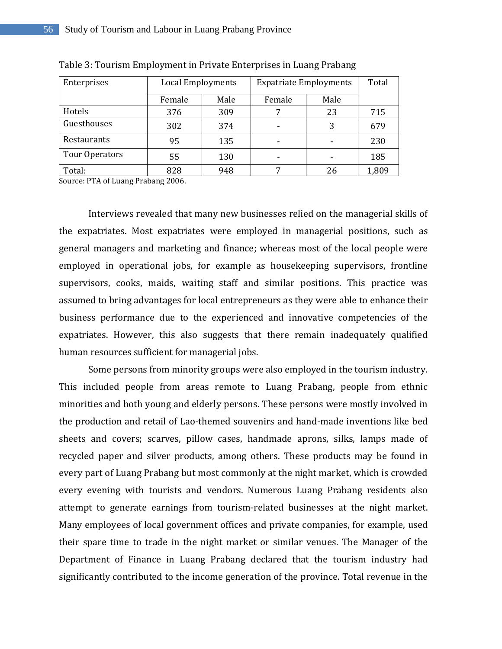| Enterprises    | <b>Local Employments</b> |      | <b>Expatriate Employments</b> |      | Total |
|----------------|--------------------------|------|-------------------------------|------|-------|
|                | Female                   | Male | Female                        | Male |       |
| Hotels         | 376                      | 309  | 7                             | 23   | 715   |
| Guesthouses    | 302                      | 374  | -                             | 3    | 679   |
| Restaurants    | 95                       | 135  | ٠                             |      | 230   |
| Tour Operators | 55                       | 130  | ۰                             |      | 185   |
| Total:         | 828                      | 948  | ⇁                             | 26   | 1,809 |

Table 3: Tourism Employment in Private Enterprises in Luang Prabang

Source: PTA of Luang Prabang 2006.

Interviews revealed that many new businesses relied on the managerial skills of the expatriates. Most expatriates were employed in managerial positions, such as general managers and marketing and finance; whereas most of the local people were employed in operational jobs, for example as housekeeping supervisors, frontline supervisors, cooks, maids, waiting staff and similar positions. This practice was assumed to bring advantages for local entrepreneurs as they were able to enhance their business performance due to the experienced and innovative competencies of the expatriates. However, this also suggests that there remain inadequately qualified human resources sufficient for managerial jobs.

Some persons from minority groups were also employed in the tourism industry. This included people from areas remote to Luang Prabang, people from ethnic minorities and both young and elderly persons. These persons were mostly involved in the production and retail of Lao-themed souvenirs and hand-made inventions like bed sheets and covers; scarves, pillow cases, handmade aprons, silks, lamps made of recycled paper and silver products, among others. These products may be found in every part of Luang Prabang but most commonly at the night market, which is crowded every evening with tourists and vendors. Numerous Luang Prabang residents also attempt to generate earnings from tourism-related businesses at the night market. Many employees of local government offices and private companies, for example, used their spare time to trade in the night market or similar venues. The Manager of the Department of Finance in Luang Prabang declared that the tourism industry had significantly contributed to the income generation of the province. Total revenue in the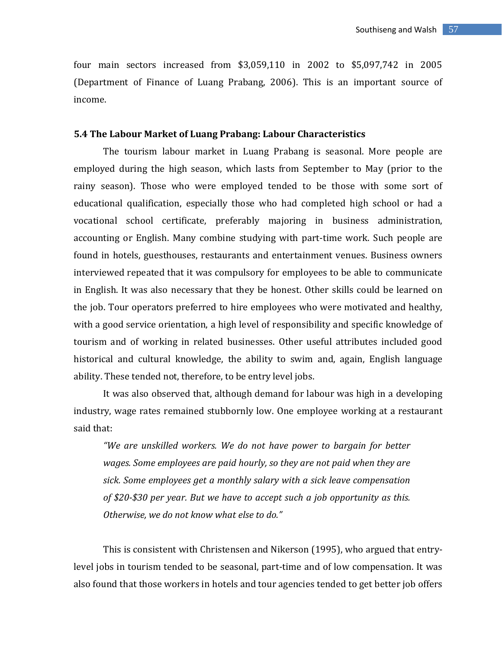four main sectors increased from \$3,059,110 in 2002 to \$5,097,742 in 2005 (Department of Finance of Luang Prabang, 2006). This is an important source of income.

#### **5.4 The Labour Market of Luang Prabang: Labour Characteristics**

 The tourism labour market in Luang Prabang is seasonal. More people are employed during the high season, which lasts from September to May (prior to the rainy season). Those who were employed tended to be those with some sort of educational qualification, especially those who had completed high school or had a vocational school certificate, preferably majoring in business administration, accounting or English. Many combine studying with part-time work. Such people are found in hotels, guesthouses, restaurants and entertainment venues. Business owners interviewed repeated that it was compulsory for employees to be able to communicate in English. It was also necessary that they be honest. Other skills could be learned on the job. Tour operators preferred to hire employees who were motivated and healthy, with a good service orientation, a high level of responsibility and specific knowledge of tourism and of working in related businesses. Other useful attributes included good historical and cultural knowledge, the ability to swim and, again, English language ability. These tended not, therefore, to be entry level jobs.

It was also observed that, although demand for labour was high in a developing industry, wage rates remained stubbornly low. One employee working at a restaurant said that:

*"We are unskilled workers. We do not have power to bargain for better wages. Some employees are paid hourly, so they are not paid when they are sick. Some employees get a monthly salary with a sick leave compensation of \$20-\$30 per year. But we have to accept such a job opportunity as this. Otherwise, we do not know what else to do."*

This is consistent with Christensen and Nikerson (1995), who argued that entrylevel jobs in tourism tended to be seasonal, part-time and of low compensation. It was also found that those workers in hotels and tour agencies tended to get better job offers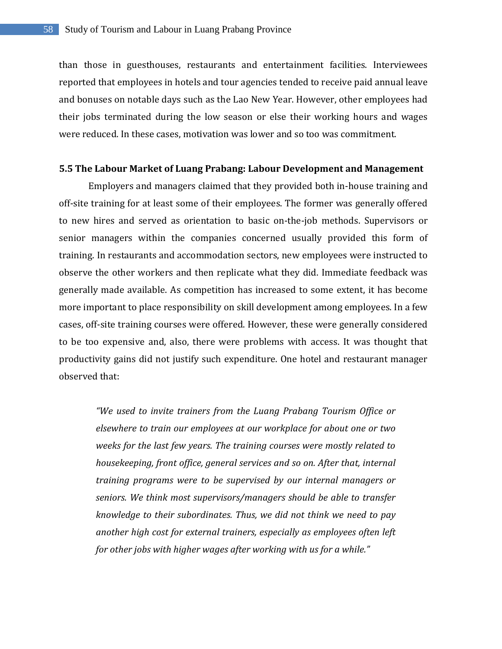than those in guesthouses, restaurants and entertainment facilities. Interviewees reported that employees in hotels and tour agencies tended to receive paid annual leave and bonuses on notable days such as the Lao New Year. However, other employees had their jobs terminated during the low season or else their working hours and wages were reduced. In these cases, motivation was lower and so too was commitment.

#### **5.5 The Labour Market of Luang Prabang: Labour Development and Management**

Employers and managers claimed that they provided both in-house training and off-site training for at least some of their employees. The former was generally offered to new hires and served as orientation to basic on-the-job methods. Supervisors or senior managers within the companies concerned usually provided this form of training. In restaurants and accommodation sectors, new employees were instructed to observe the other workers and then replicate what they did. Immediate feedback was generally made available. As competition has increased to some extent, it has become more important to place responsibility on skill development among employees. In a few cases, off-site training courses were offered. However, these were generally considered to be too expensive and, also, there were problems with access. It was thought that productivity gains did not justify such expenditure. One hotel and restaurant manager observed that:

*"We used to invite trainers from the Luang Prabang Tourism Office or elsewhere to train our employees at our workplace for about one or two weeks for the last few years. The training courses were mostly related to housekeeping, front office, general services and so on. After that, internal training programs were to be supervised by our internal managers or seniors. We think most supervisors/managers should be able to transfer knowledge to their subordinates. Thus, we did not think we need to pay another high cost for external trainers, especially as employees often left for other jobs with higher wages after working with us for a while."*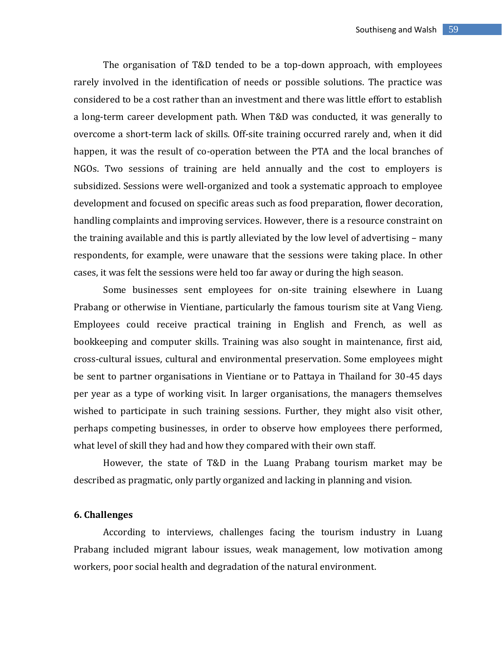The organisation of T&D tended to be a top-down approach, with employees rarely involved in the identification of needs or possible solutions. The practice was considered to be a cost rather than an investment and there was little effort to establish a long-term career development path. When T&D was conducted, it was generally to overcome a short-term lack of skills. Off-site training occurred rarely and, when it did happen, it was the result of co-operation between the PTA and the local branches of NGOs. Two sessions of training are held annually and the cost to employers is subsidized. Sessions were well-organized and took a systematic approach to employee development and focused on specific areas such as food preparation, flower decoration, handling complaints and improving services. However, there is a resource constraint on the training available and this is partly alleviated by the low level of advertising – many respondents, for example, were unaware that the sessions were taking place. In other cases, it was felt the sessions were held too far away or during the high season.

Some businesses sent employees for on-site training elsewhere in Luang Prabang or otherwise in Vientiane, particularly the famous tourism site at Vang Vieng. Employees could receive practical training in English and French, as well as bookkeeping and computer skills. Training was also sought in maintenance, first aid, cross-cultural issues, cultural and environmental preservation. Some employees might be sent to partner organisations in Vientiane or to Pattaya in Thailand for 30-45 days per year as a type of working visit. In larger organisations, the managers themselves wished to participate in such training sessions. Further, they might also visit other, perhaps competing businesses, in order to observe how employees there performed, what level of skill they had and how they compared with their own staff.

However, the state of T&D in the Luang Prabang tourism market may be described as pragmatic, only partly organized and lacking in planning and vision.

# **6. Challenges**

According to interviews, challenges facing the tourism industry in Luang Prabang included migrant labour issues, weak management, low motivation among workers, poor social health and degradation of the natural environment.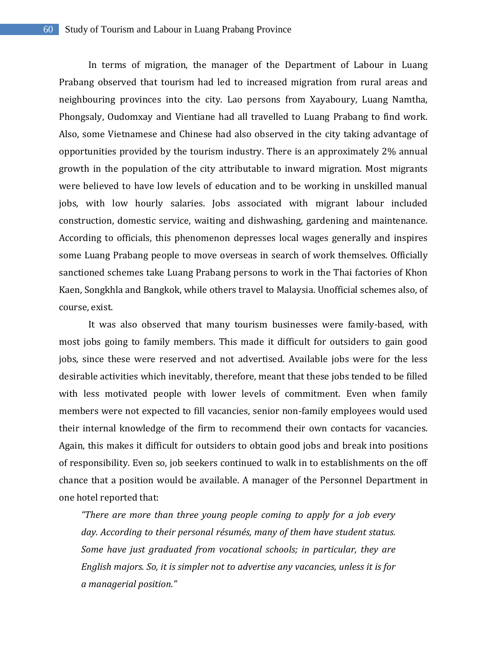In terms of migration, the manager of the Department of Labour in Luang Prabang observed that tourism had led to increased migration from rural areas and neighbouring provinces into the city. Lao persons from Xayaboury, Luang Namtha, Phongsaly, Oudomxay and Vientiane had all travelled to Luang Prabang to find work. Also, some Vietnamese and Chinese had also observed in the city taking advantage of opportunities provided by the tourism industry. There is an approximately 2% annual growth in the population of the city attributable to inward migration. Most migrants were believed to have low levels of education and to be working in unskilled manual jobs, with low hourly salaries. Jobs associated with migrant labour included construction, domestic service, waiting and dishwashing, gardening and maintenance. According to officials, this phenomenon depresses local wages generally and inspires some Luang Prabang people to move overseas in search of work themselves. Officially sanctioned schemes take Luang Prabang persons to work in the Thai factories of Khon Kaen, Songkhla and Bangkok, while others travel to Malaysia. Unofficial schemes also, of course, exist.

It was also observed that many tourism businesses were family-based, with most jobs going to family members. This made it difficult for outsiders to gain good jobs, since these were reserved and not advertised. Available jobs were for the less desirable activities which inevitably, therefore, meant that these jobs tended to be filled with less motivated people with lower levels of commitment. Even when family members were not expected to fill vacancies, senior non-family employees would used their internal knowledge of the firm to recommend their own contacts for vacancies. Again, this makes it difficult for outsiders to obtain good jobs and break into positions of responsibility. Even so, job seekers continued to walk in to establishments on the off chance that a position would be available. A manager of the Personnel Department in one hotel reported that:

*"There are more than three young people coming to apply for a job every day. According to their personal résumés, many of them have student status. Some have just graduated from vocational schools; in particular, they are English majors. So, it is simpler not to advertise any vacancies, unless it is for a managerial position."*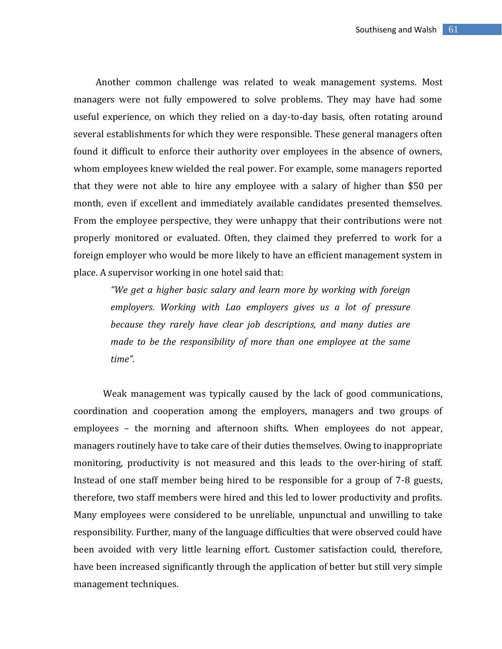Another common challenge was related to weak management systems. Most managers were not fully empowered to solve problems. They may have had some useful experience, on which they relied on a day-to-day basis, often rotating around several establishments for which they were responsible. These general managers often found it difficult to enforce their authority over employees in the absence of owners, whom employees knew wielded the real power. For example, some managers reported that they were not able to hire any employee with a salary of higher than \$50 per month, even if excellent and immediately available candidates presented themselves. From the employee perspective, they were unhappy that their contributions were not properly monitored or evaluated. Often, they claimed they preferred to work for a foreign employer who would be more likely to have an efficient management system in place. A supervisor working in one hotel said that:

*"We get a higher basic salary and learn more by working with foreign employers. Working with Lao employers gives us a lot of pressure because they rarely have clear job descriptions, and many duties are made to be the responsibility of more than one employee at the same time".* 

Weak management was typically caused by the lack of good communications, coordination and cooperation among the employers, managers and two groups of employees – the morning and afternoon shifts. When employees do not appear, managers routinely have to take care of their duties themselves. Owing to inappropriate monitoring, productivity is not measured and this leads to the over-hiring of staff. Instead of one staff member being hired to be responsible for a group of 7-8 guests, therefore, two staff members were hired and this led to lower productivity and profits. Many employees were considered to be unreliable, unpunctual and unwilling to take responsibility. Further, many of the language difficulties that were observed could have been avoided with very little learning effort. Customer satisfaction could, therefore, have been increased significantly through the application of better but still very simple management techniques.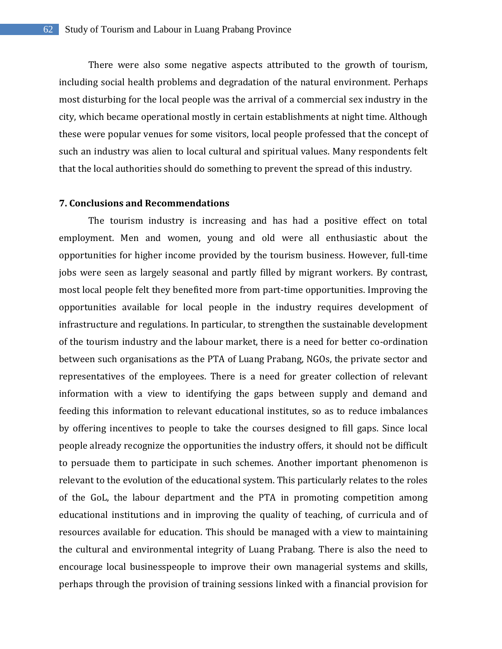There were also some negative aspects attributed to the growth of tourism, including social health problems and degradation of the natural environment. Perhaps most disturbing for the local people was the arrival of a commercial sex industry in the city, which became operational mostly in certain establishments at night time. Although these were popular venues for some visitors, local people professed that the concept of such an industry was alien to local cultural and spiritual values. Many respondents felt that the local authorities should do something to prevent the spread of this industry.

# **7. Conclusions and Recommendations**

The tourism industry is increasing and has had a positive effect on total employment. Men and women, young and old were all enthusiastic about the opportunities for higher income provided by the tourism business. However, full-time jobs were seen as largely seasonal and partly filled by migrant workers. By contrast, most local people felt they benefited more from part-time opportunities. Improving the opportunities available for local people in the industry requires development of infrastructure and regulations. In particular, to strengthen the sustainable development of the tourism industry and the labour market, there is a need for better co-ordination between such organisations as the PTA of Luang Prabang, NGOs, the private sector and representatives of the employees. There is a need for greater collection of relevant information with a view to identifying the gaps between supply and demand and feeding this information to relevant educational institutes, so as to reduce imbalances by offering incentives to people to take the courses designed to fill gaps. Since local people already recognize the opportunities the industry offers, it should not be difficult to persuade them to participate in such schemes. Another important phenomenon is relevant to the evolution of the educational system. This particularly relates to the roles of the GoL, the labour department and the PTA in promoting competition among educational institutions and in improving the quality of teaching, of curricula and of resources available for education. This should be managed with a view to maintaining the cultural and environmental integrity of Luang Prabang. There is also the need to encourage local businesspeople to improve their own managerial systems and skills, perhaps through the provision of training sessions linked with a financial provision for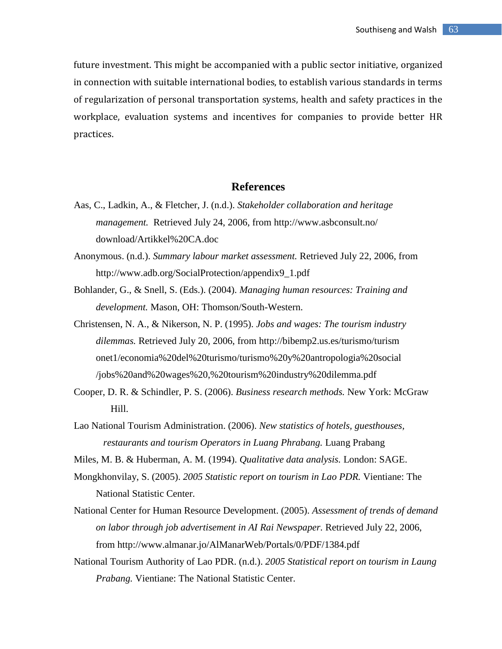future investment. This might be accompanied with a public sector initiative, organized in connection with suitable international bodies, to establish various standards in terms of regularization of personal transportation systems, health and safety practices in the workplace, evaluation systems and incentives for companies to provide better HR practices.

# **References**

- Aas, C., Ladkin, A., & Fletcher, J. (n.d.). *Stakeholder collaboration and heritage management.* Retrieved July 24, 2006, from [http://www.asbconsult.no/](http://www.asbconsult.no/download/Artikkel%20CA.doc) [download/Artikkel%20CA.doc](http://www.asbconsult.no/download/Artikkel%20CA.doc)
- Anonymous. (n.d.). *Summary labour market assessment.* Retrieved July 22, 2006, from [http://www.adb.org/SocialProtection/appendix9\\_1.pdf](http://www.adb.org/SocialProtection/appendix9_1.pdf)
- Bohlander, G., & Snell, S. (Eds.). (2004). *Managing human resources: Training and development.* Mason, OH: Thomson/South-Western.
- Christensen, N. A., & Nikerson, N. P. (1995). *Jobs and wages: The tourism industry dilemmas.* Retrieved July 20, 2006, from [http://bibemp2.us.es/turismo/turism](http://bibemp2.us.es/turismo/turismonet1/economia%20del%20turismo/turismo%20y%20antropologia%20social/jobs%20and%20wages%20,%20tourism%20industry%20dilemma.pdf) [onet1/economia%20del%20turismo/turismo%20y%20antropologia%20social](http://bibemp2.us.es/turismo/turismonet1/economia%20del%20turismo/turismo%20y%20antropologia%20social/jobs%20and%20wages%20,%20tourism%20industry%20dilemma.pdf) [/jobs%20and%20wages%20,%20tourism%20industry%20dilemma.pdf](http://bibemp2.us.es/turismo/turismonet1/economia%20del%20turismo/turismo%20y%20antropologia%20social/jobs%20and%20wages%20,%20tourism%20industry%20dilemma.pdf)
- Cooper, D. R. & Schindler, P. S. (2006). *Business research methods.* New York: McGraw Hill.
- Lao National Tourism Administration. (2006). *New statistics of hotels, guesthouses, restaurants and tourism Operators in Luang Phrabang.* Luang Prabang
- Miles, M. B. & Huberman, A. M. (1994). *Qualitative data analysis.* London: SAGE.
- Mongkhonvilay, S. (2005). *2005 Statistic report on tourism in Lao PDR.* Vientiane: The National Statistic Center.
- National Center for Human Resource Development. (2005). *Assessment of trends of demand on labor through job advertisement in AI Rai Newspaper.* Retrieved July 22, 2006, from http://www.almanar.jo/AlManarWeb/Portals/0/PDF/1384.pdf
- National Tourism Authority of Lao PDR. (n.d.). *2005 Statistical report on tourism in Laung Prabang.* Vientiane: The National Statistic Center.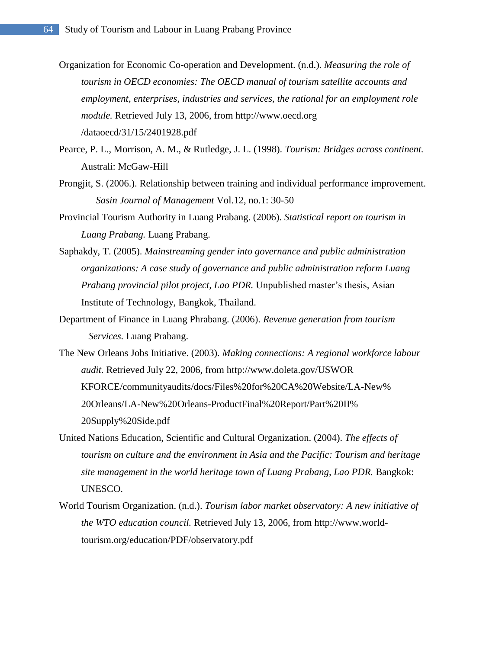- Organization for Economic Co-operation and Development. (n.d.). *Measuring the role of tourism in OECD economies: The OECD manual of tourism satellite accounts and employment, enterprises, industries and services, the rational for an employment role module.* Retrieved July 13, 2006, from [http://www.oecd.org](http://www.oecd.org/dataoecd/31/15/2401928.pdf) [/dataoecd/31/15/2401928.pdf](http://www.oecd.org/dataoecd/31/15/2401928.pdf)
- Pearce, P. L., Morrison, A. M., & Rutledge, J. L. (1998). *Tourism: Bridges across continent.* Australi: McGaw-Hill
- Prongjit, S. (2006.). Relationship between training and individual performance improvement. *Sasin Journal of Management* Vol.12, no.1: 30-50
- Provincial Tourism Authority in Luang Prabang. (2006). *Statistical report on tourism in Luang Prabang.* Luang Prabang.
- Saphakdy, T. (2005). *Mainstreaming gender into governance and public administration organizations: A case study of governance and public administration reform Luang Prabang provincial pilot project, Lao PDR.* Unpublished master's thesis, Asian Institute of Technology, Bangkok, Thailand.
- Department of Finance in Luang Phrabang. (2006). *Revenue generation from tourism Services.* Luang Prabang.
- The New Orleans Jobs Initiative. (2003). *Making connections: A regional workforce labour audit.* Retrieved July 22, 2006, from http://www.doleta.gov/USWOR KFORCE/communityaudits/docs/Files%20for%20CA%20Website/LA-New% 20Orleans/LA-New%20Orleans-ProductFinal%20Report/Part%20II% 20Supply%20Side.pdf
- United Nations Education, Scientific and Cultural Organization. (2004). *The effects of tourism on culture and the environment in Asia and the Pacific: Tourism and heritage site management in the world heritage town of Luang Prabang, Lao PDR.* Bangkok: UNESCO.
- World Tourism Organization. (n.d.). *Tourism labor market observatory: A new initiative of the WTO education council.* Retrieved July 13, 2006, from [http://www.world](http://www.world-tourism.org/education/PDF/observatory.pdf)[tourism.org/education/PDF/observatory.pdf](http://www.world-tourism.org/education/PDF/observatory.pdf)